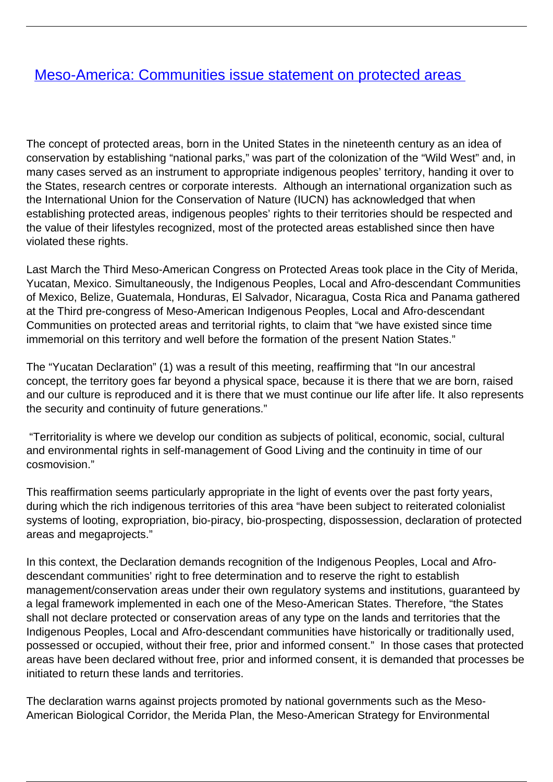## [Meso-America: Communities issue statement on protected areas](/bulletin-articles/meso-america-communities-issue-statement-on-protected-areas)

The concept of protected areas, born in the United States in the nineteenth century as an idea of conservation by establishing "national parks," was part of the colonization of the "Wild West" and, in many cases served as an instrument to appropriate indigenous peoples' territory, handing it over to the States, research centres or corporate interests. Although an international organization such as the International Union for the Conservation of Nature (IUCN) has acknowledged that when establishing protected areas, indigenous peoples' rights to their territories should be respected and the value of their lifestyles recognized, most of the protected areas established since then have violated these rights.

Last March the Third Meso-American Congress on Protected Areas took place in the City of Merida, Yucatan, Mexico. Simultaneously, the Indigenous Peoples, Local and Afro-descendant Communities of Mexico, Belize, Guatemala, Honduras, El Salvador, Nicaragua, Costa Rica and Panama gathered at the Third pre-congress of Meso-American Indigenous Peoples, Local and Afro-descendant Communities on protected areas and territorial rights, to claim that "we have existed since time immemorial on this territory and well before the formation of the present Nation States."

The "Yucatan Declaration" (1) was a result of this meeting, reaffirming that "In our ancestral concept, the territory goes far beyond a physical space, because it is there that we are born, raised and our culture is reproduced and it is there that we must continue our life after life. It also represents the security and continuity of future generations."

 "Territoriality is where we develop our condition as subjects of political, economic, social, cultural and environmental rights in self-management of Good Living and the continuity in time of our cosmovision."

This reaffirmation seems particularly appropriate in the light of events over the past forty years, during which the rich indigenous territories of this area "have been subject to reiterated colonialist systems of looting, expropriation, bio-piracy, bio-prospecting, dispossession, declaration of protected areas and megaprojects."

In this context, the Declaration demands recognition of the Indigenous Peoples, Local and Afrodescendant communities' right to free determination and to reserve the right to establish management/conservation areas under their own regulatory systems and institutions, guaranteed by a legal framework implemented in each one of the Meso-American States. Therefore, "the States shall not declare protected or conservation areas of any type on the lands and territories that the Indigenous Peoples, Local and Afro-descendant communities have historically or traditionally used, possessed or occupied, without their free, prior and informed consent." In those cases that protected areas have been declared without free, prior and informed consent, it is demanded that processes be initiated to return these lands and territories.

The declaration warns against projects promoted by national governments such as the Meso-American Biological Corridor, the Merida Plan, the Meso-American Strategy for Environmental